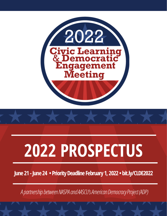



# **2022 PROSPECTUS**

**June 21 -June 24 •PriorityDeadline February 1, 2022 •bit.ly/CLDE2022**

A partnership between NASPA and AASCU's American Democracy Project (ADP)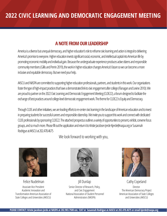## **A NOTE FROM OUR LEADERSHIP**

America is a diverse but unequal democracy, and higher education's role to reframe civic learning and action is integral to delivering America's promise to everyone. Higher education invests significant social, economic, and intellectual capital into American life by promoting economic mobility and individual gain. Because the undergraduate experience produces active citizens and responsible community members (Gillis and Perrin 2019), the work in higher education changes America's future so we can become a more inclusive and equitable democracy. But we need your help.

AASCU and NASPA are committed to supporting higher education professionals, partners, and students in this work. Our organizations foster the type of high-impact practices that have a demonstrated link to civic engagement after college (Flanagan and Levine 2010). We are proud to partner on the 2022 Civic Learning and Democratic Engagement Meeting (CLDE22), a forum designed to facilitate the exchange of best practices around college-level democratic engagement work. The theme for CLDE22 is Equity and Democracy.

Through CLDE and other initiatives, we are leading efforts to re-center civic learning in the landscape of American education and to invest in preparing students for successful careers and responsible citizenship. We invite you to support this work and connect with dedicated CLDE professionals by sponsoring CLDE22. The attached prospectus outlines a variety of opportunities to present, exhibit, convene focus groups, and so much more. Please fill out the application and return it to Kristie Jacobsen Jerde Kjerde@naspa.org or Susannah Rodrigue at AASCU at 202.478.4675

We look forward to working with you,



Associate Vice President Academic Innovation and Transformation American Association of

State Colleges and Universities (AASCU)



Senior Director of Research, Policy, and Civic Engagement National Association of Student Personnel Administrators(NASPA) Felice Nudelman and Till Dunlap Juli Dunlap Cathy Copeland



Director The American Democracy Project American Association of State Colleges and Universities(AASCU)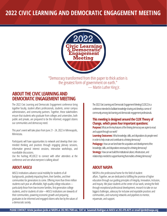

"Democracy transformed from thin paper to thick action is the greatest form of government on earth." — Martin Luther King Jr.

## **ABOUT THE CIVIC LEARNING AND DEMOCRATIC ENGAGEMENT MEETING**

The 2022 Civic Learning and Democratic Engagement conference bring together faculty, student affairs professionals, students, senior campus administrators, and community partners. Together, these stakeholders ensure that students who graduate from colleges and universities, both public and private, are prepared to be the informed, engaged citizens our communities and democracy need.

This year's event will take place from June 21 - 24, 2022 in Minneapolis, Minnesota.

Participants will have opportunities to network and develop their civicminded thinking and practices through engaging plenary sessions, informative general interest sessions, interactive workshops, and roundtable discussions.

Use the hashtag #CLDE22 to connect with other attendees at the conference and see what everyone is talking about!

AASCU institutions advance social mobility for students of all backgrounds, positively impacting them, their families, and their communities for generations to come. Offering more than three million students each year an affordable, high-quality college education particularly those from low-income families, first-generation college students, and/or students of color—AASCU institutions are stewards of their communities, powering economic growth and preparing graduates to be informed and engaged citizens who live by the values of a democratic society.

The 2022 Civic Learning and Democratic Engagement Meeting (CLDE22) is a conference intended to facilitate knowledge-sharing and develop a sense of community among civic learning and democratic engagement professionals.

## **This meeting is designed around the CLDE Theory of Change, which poses four important questions:**

**Purpose:** What are the key features of the thriving democracy we aspire to enact and support through our work?

**Learning Outcomes:** What knowledge, skills, and dispositions do people need in order to help create and contribute to a thriving democracy? **Pedagogy:** How can we best foster the acquisition and development of the knowledge, skills, and dispositions necessary for a thriving democracy? **Strategy:** How can we build the institutional culture, infrastructure, and relationships needed to support learning that enables a thriving democracy?

## **ABOUT AASCU ABOUTNASPA**

NASPA is the professional home for the field of student affairs. Together, we are dedicated to fulfilling the promise of higher education through our guiding principles of Integrity, Innovation, Inclusion, and Inquiry. We place students at the center of our work, serving the field through exceptional professional development, research to take on our biggest challenges, advocacy for inclusive and equitable practices and communities, and nurturing networks and pipelines to mentor, rejuvenate, and support.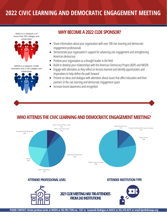AASCU is a network a of more than 355 colleges and universities



NASPA is a network 13,000 members and 2,100 colleges and



## **WHY BECOME A 2022 CLDE SPONSOR?**

- Share information about your organization with over 700 civic learning and democratic engagement professionals
- Demonstrate your organization's support for advancing civic engagement and strengthening American democracy
- Position your organization as a thought leader in the field  $\bullet$
- Build or develop your relationships with the American Democracy Project (ADP) and NASPA
- Engage with attendees as they reflect on lessons learned and identify opportunities and imperatives to help define the path forward
- Present on ideas and dialogue with attendees about issues that affect education and their  $\bullet$ partners in the civic learning and democratic engagement space
- Increase brand awarenessand recognition  $\bullet$

## **WHO ATTENDS THE CIVIC LEARNING AND DEMOCRATIC ENGAGEMENT MEETING?**

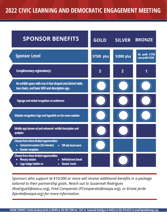| <b>SPONSOR BENEFITS</b>                                                                                                                                                         | <b>GOLD</b> | <b>SILVER</b>  | <b>BRONZE</b>                          |
|---------------------------------------------------------------------------------------------------------------------------------------------------------------------------------|-------------|----------------|----------------------------------------|
| <b>Sponsor Level</b>                                                                                                                                                            | \$7500 plus | \$3000 plus    | for profit \$1750<br>non-profit \$1250 |
| <b>Complimentary registration(s)</b>                                                                                                                                            | 3           | $\overline{2}$ | 1                                      |
| An exhibit space with one 6-foot draped and skirted table,<br>two chairs, and basic WiFi and description app.                                                                   |             |                |                                        |
| Signage and verbal recognition at conference                                                                                                                                    |             |                |                                        |
| Website recognition: logo and hyperlink on the event website                                                                                                                    |             |                |                                        |
| Mobile app banner ad and enhanced exhibit description and<br>analytics                                                                                                          |             |                |                                        |
| <b>Choose from these limited opportunities:</b><br><b>Concurrent session (50 minutes)</b><br><b>Off-site local event</b><br>$\bullet$ .<br><b>Hosted reception</b><br>$\bullet$ |             |                |                                        |
| Choose from these limited opportunities:<br><b>Plenary session</b><br>Refreshment break<br>Logo badge holders or<br><b>Hosted lunch</b><br>$\bullet$                            |             |                |                                        |

*Sponsors who support at \$10,000 or more will receive additional benefits in a package tailored to their partnership goals. Reach out to Susannah Rodrigues (RodrigueS@aascu.org), Fred Comparato (FComparato@naspa.org), or Kristie Jerde (kjerde@naspa.org) for more information.*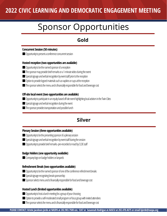# Sponsor Opportunities

**BRONZE** 

**for profit \$1750**

## **Gold**

#### **Concurrent Session(50minutes)**

■ Opportunity to present a conference concurrent session

#### **Hosted reception (two opportunities are available)**

- Opportunity to be the named sponsor of a reception
- $\blacksquare$  The sponsor may provide brief remarks or a 1-minute video during the event
- Special signage and verbal recognition by event staff prior to the reception
- Option to provide logoed materials such as napkins or cups at the reception
- The sponsor selects the menu and is financially responsible for food and beverage cost

#### **Off-site local event(twoopportunities are available)**

- Opportunity to participate in an equity-based off-site event highlighting local activism in the Twin Cities
- Special signage and verbal recognition during the event
- $\blacksquare$  The sponsor provides transportation and possible lunch

## **Silver**

#### **Plenary Session (three opportunities available)**

- Opportunity to be the presenting sponsor of a plenary session
- Special signage and verbal recognition by event staff during the session
- Opportunity to provide brief remarks-pre-recorded or read by CLDE staff

#### **BadgeHolders(oneopportunity available)**

■ Company logo on badge holders or lanyards

#### **Refreshment Break (two opportunities available)**

- Opportunity to be the named sponsor of one of the conference refreshment breaks
- Special signage recognizing break sponsorship
- Sponsor selects menu and is financially responsible for food and beverage cost

#### **Hosted Lunch (limited opportunities available)**

- Opportunity to host a lunch meeting for a group of your choosing
- Option to provide a self-moderated small program or focus group with invited attendees
- The sponsor selects the menu and is financially responsible for food and beverage cost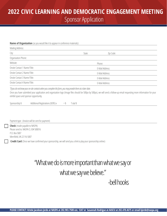## **Sponsor Application 2022 CIVIC LEARNING AND DEMOCRATIC ENGAGEMENT MEETING**

#### **Name of Organization** (as you would like it to appear in conference materials):

| Mailing Address:             |        |                 |  |  |  |
|------------------------------|--------|-----------------|--|--|--|
| City:                        | State: | Zip Code:       |  |  |  |
| Organization Phone:          |        |                 |  |  |  |
| Website:                     |        | Phone:          |  |  |  |
| Onsite Contact 1 Name/Title: |        | E-Mail Address: |  |  |  |
| Onsite Contact 2 Name/Title: |        | E-Mail Address: |  |  |  |
| Onsite Contact 3 Name/Title: |        | E-Mail Address: |  |  |  |
| Onsite Contact 4 Name/Title: |        | E-Mail Address: |  |  |  |

*\*Ifyoudonotknowyouron-sitecontactswhenyoucompletethisform,youmayprovidethematalaterdate.*

Once you have submitted your application and organization logo (Image files should be 500px by 500px), we will send a follow-up email requesting more information for your exhibit space and sponsor opportunity.

| Sponsorship \$ | Additional Registrations (\$395) x | $=$ \$ | T otal \$ |
|----------------|------------------------------------|--------|-----------|
|----------------|------------------------------------|--------|-----------|

#### Payment type: (Invoice will be sent for payment)

**Check** (made payable to NASPA) Please send to: NASPA CLID# 500016 P.O. Box5007 Merrifield, VA 22116-5007

**Credit Card** (Once we have confirmed your sponsorship, we will send you a link to play your sponsorship online)

## "What we do is more important than what we say or what we say we believe."

## -bell hooks